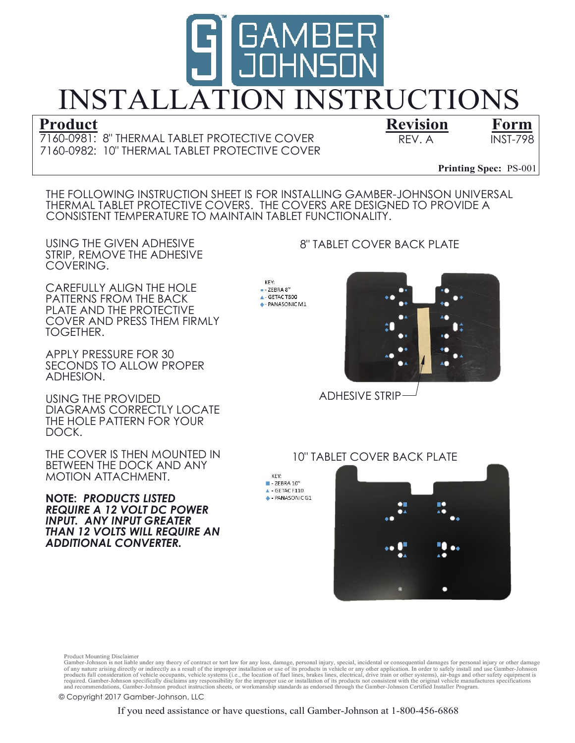

7160-0982: 10" THERMAL TABLET PROTECTIVE COVER 7160-0981: 8" THERMAL TABLET PROTECTIVE COVER REV. A INST-798

Revision Form

Printing Spec:  $PS-001$ 

THE FOLLOWING INSTRUCTION SHEET IS FOR INSTALLING GAMBER-JOHNSON UNIVERSAL THERMAL TABLET PROTECTIVE COVERS. THE COVERS ARE DESIGNED TO PROVIDE A CONSISTENT TEMPERATURE TO MAINTAIN TABLET FUNCTIONALITY.

USING THE GIVEN ADHESIVE STRIP, REMOVE THE ADHESIVE COVERING.

CAREFULLY ALIGN THE HOLE PATTERNS FROM THE BACK PLATE AND THE PROTECTIVE COVER AND PRESS THEM FIRMLY TOGETHER.

APPLY PRESSURE FOR 30 SECONDS TO ALLOW PROPER ADHESION.

USING THE PROVIDED DIAGRAMS CORRECTLY LOCATE THE HOLE PATTERN FOR YOUR DOCK.

THE COVER IS THEN MOUNTED IN BETWEEN THE DOCK AND ANY MOTION ATTACHMENT.

INPUT. ANY INPUT GREATER THAN 12 VOLTS WILL REQUIRE AN ADDITIONAL CONVERTER. NOTE: PRODUCTS LISTED REQUIRE A 12 VOLT DC POWER

KEY:  $-$  ZEBRA 8" GETACT800 **+- PANASONIC M1** 

> KEY.  $\blacksquare$  - ZEBRA 10"  $\triangle$  - GETAC F110 + PANASONIC G1

## 8" TABLET COVER BACK PLATE



ADHESIVE STRIP

## 10" TABLET COVER BACK PLATE



Product Mounting Disclaimer<br>Gramber-Johnson is not liable under any theory of contract or tort law for any loss, damage, personal injury, special, incidental or consequential damages for personal injury or other damage<br>Gra

© Copyright 2017 Gamber-Johnson, LLC

If you need assistance or have questions, call Gamber-Johnson at 1-800-456-6868